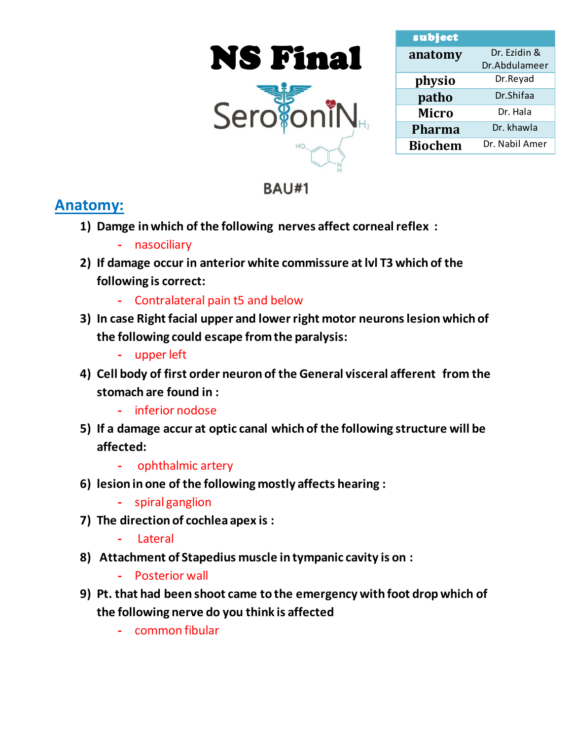



| subject        |                |
|----------------|----------------|
| anatomy        | Dr. Ezidin &   |
|                | Dr.Abdulameer  |
| physio         | Dr.Reyad       |
| patho          | Dr.Shifaa      |
| <b>Micro</b>   | Dr. Hala       |
| <b>Pharma</b>  | Dr. khawla     |
| <b>Biochem</b> | Dr. Nabil Amer |

# **BAU#1**

### **Anatomy:**

- **1) Damge in which of the following nerves affect corneal reflex :**
	- **-** nasociliary
- **2) If damage occur in anterior white commissure at lvl T3 which of the following is correct:**
	- **-** Contralateral pain t5 and below
- **3) In case Right facial upper and lower right motor neurons lesion which of the following could escape from the paralysis:**
	- **-** upper left
- **4) Cell body of first order neuron of the General visceral afferent from the stomach are found in :**
	- **-** inferior nodose
- **5) If a damage accur at optic canal which of the following structure will be affected:**
	- **-** ophthalmic artery
- **6) lesion in one of the following mostly affects hearing :**
	- **-** spiral ganglion
- **7) The direction of cochlea apex is :**
	- **-** Lateral
- **8) Attachment of Stapedius muscle in tympanic cavity is on :**
	- **-** Posterior wall
- **9) Pt. that had been shoot came to the emergency with foot drop which of the following nerve do you think is affected** 
	- **-** common fibular